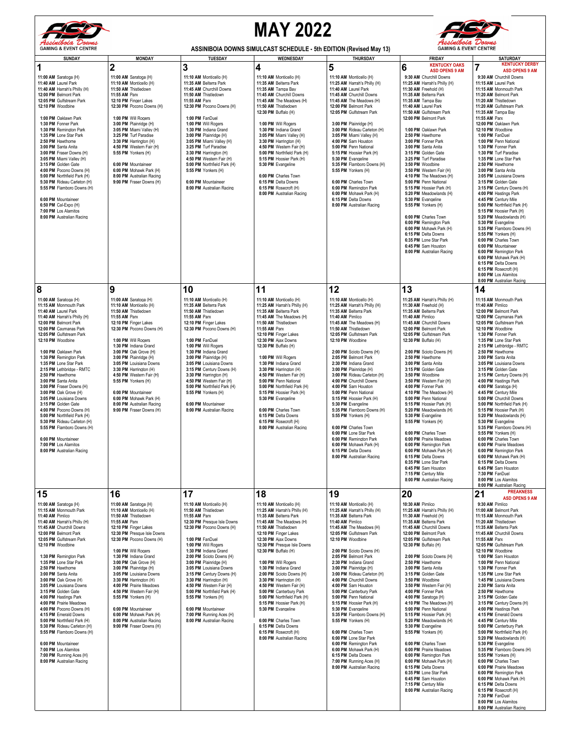

## **MAY 2022**



| rssimivoia <i>voims</i><br><b>GAMING &amp; EVENT CENTRE</b>                                                                                                                                                                                                                                                                                                                                                                                                                                                                                                                                                                                                                                            |                                                                                                                                                                                                                                                                                                                                                                                                                                                                                                                                       | <b>ASSINIBOIA DOWNS SIMULCAST SCHEDULE - 5th EDITION (Revised May 13)</b>                                                                                                                                                                                                                                                                                                                                                                                                                                       |                                                                                                                                                                                                                                                                                                                                                                                                                                                                                                                                                                                                       | -reeuwoua Downe<br><b>GAMING &amp; EVENT CENTRE</b>                                                                                                                                                                                                                                                                                                                                                                                                                                                                                                                                                                                                                                                                                |                                                                                                                                                                                                                                                                                                                                                                                                                                                                                                                                                                                                                                                                                                                                                                                                              |                                                                                                                                                                                                                                                                                                                                                                                                                                                                                                                                                                                                                                                                                                                                                                                                                                                                                                                                                                             |
|--------------------------------------------------------------------------------------------------------------------------------------------------------------------------------------------------------------------------------------------------------------------------------------------------------------------------------------------------------------------------------------------------------------------------------------------------------------------------------------------------------------------------------------------------------------------------------------------------------------------------------------------------------------------------------------------------------|---------------------------------------------------------------------------------------------------------------------------------------------------------------------------------------------------------------------------------------------------------------------------------------------------------------------------------------------------------------------------------------------------------------------------------------------------------------------------------------------------------------------------------------|-----------------------------------------------------------------------------------------------------------------------------------------------------------------------------------------------------------------------------------------------------------------------------------------------------------------------------------------------------------------------------------------------------------------------------------------------------------------------------------------------------------------|-------------------------------------------------------------------------------------------------------------------------------------------------------------------------------------------------------------------------------------------------------------------------------------------------------------------------------------------------------------------------------------------------------------------------------------------------------------------------------------------------------------------------------------------------------------------------------------------------------|------------------------------------------------------------------------------------------------------------------------------------------------------------------------------------------------------------------------------------------------------------------------------------------------------------------------------------------------------------------------------------------------------------------------------------------------------------------------------------------------------------------------------------------------------------------------------------------------------------------------------------------------------------------------------------------------------------------------------------|--------------------------------------------------------------------------------------------------------------------------------------------------------------------------------------------------------------------------------------------------------------------------------------------------------------------------------------------------------------------------------------------------------------------------------------------------------------------------------------------------------------------------------------------------------------------------------------------------------------------------------------------------------------------------------------------------------------------------------------------------------------------------------------------------------------|-----------------------------------------------------------------------------------------------------------------------------------------------------------------------------------------------------------------------------------------------------------------------------------------------------------------------------------------------------------------------------------------------------------------------------------------------------------------------------------------------------------------------------------------------------------------------------------------------------------------------------------------------------------------------------------------------------------------------------------------------------------------------------------------------------------------------------------------------------------------------------------------------------------------------------------------------------------------------------|
| <b>SUNDAY</b>                                                                                                                                                                                                                                                                                                                                                                                                                                                                                                                                                                                                                                                                                          | <b>MONDAY</b>                                                                                                                                                                                                                                                                                                                                                                                                                                                                                                                         | <b>TUESDAY</b>                                                                                                                                                                                                                                                                                                                                                                                                                                                                                                  | WEDNESDAY                                                                                                                                                                                                                                                                                                                                                                                                                                                                                                                                                                                             | <b>THURSDAY</b>                                                                                                                                                                                                                                                                                                                                                                                                                                                                                                                                                                                                                                                                                                                    | <b>FRIDAY</b>                                                                                                                                                                                                                                                                                                                                                                                                                                                                                                                                                                                                                                                                                                                                                                                                | <b>SATURDAY</b>                                                                                                                                                                                                                                                                                                                                                                                                                                                                                                                                                                                                                                                                                                                                                                                                                                                                                                                                                             |
| 1<br>11:00 AM Saratoga (H)<br>11:40 AM Laurel Park<br>11:40 AM Harrah's Philly (H)<br>12:00 PM Belmont Park<br>12:05 PM Gulfstream Park<br>12:10 PM Woodbine                                                                                                                                                                                                                                                                                                                                                                                                                                                                                                                                           | 2<br>11:00 AM Saratoga (H)<br>11:10 AM Monticello (H)<br>11:50 AM Thistledown<br>11:55 AM Parx<br>12:10 PM Finger Lakes<br>12:30 PM Pocono Downs (H)                                                                                                                                                                                                                                                                                                                                                                                  | 3<br>11:10 AM Monticello (H)<br>11:35 AM Belterra Park<br>11:45 AM Churchill Downs<br>11:50 AM Thistledown<br>11:55 AM Parx<br>12:30 PM Pocono Downs (H)                                                                                                                                                                                                                                                                                                                                                        | 4<br>11:10 AM Monticello (H)<br>11:35 AM Belterra Park<br>11:35 AM Tampa Bay<br>11:45 AM Churchill Downs<br>11:45 AM The Meadows (H)<br>11:50 AM Thistledown<br>12:30 PM Buffalo (H)                                                                                                                                                                                                                                                                                                                                                                                                                  | 5<br>11:10 AM Monticello (H)<br>11:25 AM Harrah's Philly (H)<br>11:40 AM Laurel Park<br>11:45 AM Churchill Downs<br>11:45 AM The Meadows (H)<br>12:00 PM Belmont Park<br>12:05 PM Gulfstream Park                                                                                                                                                                                                                                                                                                                                                                                                                                                                                                                                  | <b>KENTUCKY OAKS</b><br>6<br><b>ASD OPENS 9 AM</b><br>9:30 AM Churchill Downs<br>11:25 AM Harrah's Philly (H)<br>11:30 AM Freehold (H)<br>11:35 AM Belterra Park<br>11:35 AM Tampa Bay<br>11:40 AM Laurel Park<br>11:50 AM Gulfstream Park                                                                                                                                                                                                                                                                                                                                                                                                                                                                                                                                                                   | <b>KENTUCKY DERBY</b><br>7<br><b>ASD OPENS 9 AM</b><br>9:30 AM Churchill Downs<br>11:15 AM Laurel Park<br>11:15 AM Monmouth Park<br>11:20 AM Belmont Park<br>11:20 AM Thistledown<br>11:20 AM Gulfstream Park<br>11:35 AM Tampa Bay                                                                                                                                                                                                                                                                                                                                                                                                                                                                                                                                                                                                                                                                                                                                         |
| 1:00 PM Oaklawn Park<br>1:30 PM Fonner Park<br>1:30 PM Remington Park<br>1:35 PM Lone Star Park<br>2:50 PM Hawthome<br>3:00 PM Santa Anita<br>3:00 PM Fraser Downs (H)<br>3:05 PM Miami Valley (H)<br>3:15 PM Golden Gate<br>4:00 PM Pocono Downs (H)<br>5:00 PM Northfield Park (H)<br>5:30 PM Rideau Carleton (H)<br>5:55 PM Flamboro Downs (H)<br>6:00 PM Mountaineer<br>6:50 PM Cal-Expo (H)<br>7:00 PM Los Alamitos<br>8:00 PM Australian Racing                                                                                                                                                                                                                                                  | 1:00 PM Will Rogers<br>3:00 PM Plainridge (H)<br>3:05 PM Miami Valley (H)<br>3:25 PM Turf Paradise<br>3:30 PM Harrington (H)<br>4:50 PM Western Fair (H)<br>5:55 PM Yonkers (H)<br>6:00 PM Mountaineer<br>6:00 PM Mohawk Park (H)<br>8:00 PM Australian Racing<br>9:00 PM Fraser Downs (H)                                                                                                                                                                                                                                            | 1:00 PM FanDuel<br>1:00 PM Will Rogers<br>1:30 PM Indiana Grand<br>3:00 PM Plainridge (H)<br>3:05 PM Miami Valley (H)<br>3:25 PM Turf Paradise<br>3:30 PM Harrington (H)<br>4:50 PM Western Fair (H)<br>5:00 PM Northfield Park (H)<br>5:55 PM Yonkers (H)<br>6:00 PM Mountaineer<br>8:00 PM Australian Racing                                                                                                                                                                                                  | 1:00 PM Will Rogers<br>1:30 PM Indiana Grand<br>3:05 PM Miami Valley (H)<br>3:30 PM Harrington (H)<br>4:50 PM Western Fair (H)<br>5:00 PM Northfield Park (H)<br>5:15 PM Hoosier Park (H)<br>5:30 PM Evangeline<br>6:00 PM Charles Town<br>6:15 PM Delta Downs<br>6:15 PM Rosecroft (H)<br>8:00 PM Australian Racing                                                                                                                                                                                                                                                                                  | 3:00 PM Plainridge (H)<br>3:00 PM Rideau Carleton (H)<br>3:05 PM Miami Valley (H)<br>4:00 PM Sam Houston<br>5:00 PM Penn National<br>5:15 PM Hoosier Park (H)<br>5:30 PM Evangeline<br>5:35 PM Flamboro Downs (H)<br>5:55 PM Yonkers (H)<br>6:00 PM Charles Town<br>6:00 PM Remington Park<br>6:00 PM Mohawk Park (H)<br>6:15 PM Delta Downs<br>8:00 PM Australian Racing                                                                                                                                                                                                                                                                                                                                                          | 12:00 PM Belmont Park<br>1:00 PM Oaklawn Park<br>2:50 PM Hawthome<br>3:00 PM Fonner Park<br>3:00 PM Santa Anita<br>3:15 PM Golden Gate<br>3:25 PM Turf Paradise<br>3:50 PM Woodbine<br>3:50 PM Western Fair (H)<br>4:10 PM The Meadows (H)<br>5:00 PM Penn National<br>5:15 PM Hoosier Park (H)<br>5:20 PM Meadowlands (H)<br>5:30 PM Evangeline<br>5:55 PM Yonkers (H)<br>6:00 PM Charles Town<br>6:00 PM Remington Park<br>6:00 PM Mohawk Park (H)<br>6:15 PM Delta Downs<br>6:35 PM Lone Star Park<br>6:45 PM Sam Houston<br>8:00 PM Australian Racing                                                                                                                                                                                                                                                    | 11:55 AM Parx<br>12:00 PM Oaklawn Park<br>12:10 PM Woodbine<br>1:00 PM FanDuel<br>1:00 PM Penn National<br>1:30 PM Fonner Park<br>1:30 PM Turf Paradise<br>1:35 PM Lone Star Park<br>2:50 PM Hawthorne<br>3:00 PM Santa Anita<br>3:05 PM Louisiana Downs<br>3:15 PM Golden Gate<br>3:15 PM Century Downs (H)<br>4:00 PM Hastings Park<br>4:45 PM Century Mile<br>5:00 PM Northfield Park (H)<br>5:15 PM Hoosier Park (H)<br>5:20 PM Meadowlands (H)<br>5:30 PM Evangeline<br>5:35 PM Flamboro Downs (H)<br>5:55 PM Yonkers (H)<br>6:00 PM Charles Town<br>6:00 PM Mountaineer<br>6:00 PM Remington Park<br>6:00 PM Mohawk Park (H)<br>6:15 PM Delta Downs<br>6:15 PM Rosecroft (H)<br>8:00 PM Los Alamitos<br>8:00 PM Australian Racing                                                                                                                                                                                                                                     |
| 8                                                                                                                                                                                                                                                                                                                                                                                                                                                                                                                                                                                                                                                                                                      | 9                                                                                                                                                                                                                                                                                                                                                                                                                                                                                                                                     | 10                                                                                                                                                                                                                                                                                                                                                                                                                                                                                                              | 11                                                                                                                                                                                                                                                                                                                                                                                                                                                                                                                                                                                                    | 12                                                                                                                                                                                                                                                                                                                                                                                                                                                                                                                                                                                                                                                                                                                                 | 13                                                                                                                                                                                                                                                                                                                                                                                                                                                                                                                                                                                                                                                                                                                                                                                                           | 14                                                                                                                                                                                                                                                                                                                                                                                                                                                                                                                                                                                                                                                                                                                                                                                                                                                                                                                                                                          |
| 11:00 AM Saratoga (H)<br>11:15 AM Monmouth Park<br>11:40 AM Laurel Park<br>11:40 AM Harrah's Philly (H)<br>12:00 PM Belmont Park<br>12:00 PM Caymanas Park<br>12:05 PM Gulfstream Park<br>12:10 PM Woodbine<br>1:00 PM Oaklawn Park<br>1:30 PM Remington Park<br>1:35 PM Lone Star Park<br>2:15 PM Lethbridge - RMTC<br>2:50 PM Hawthome<br>3:00 PM Santa Anita<br>3:00 PM Fraser Downs (H)<br>3:00 PM Oak Grove (H)<br>3:05 PM Louisiana Downs<br>3:15 PM Golden Gate<br>4:00 PM Pocono Downs (H)<br>5:00 PM Northfield Park (H)<br>5:30 PM Rideau Carleton (H)<br>5:55 PM Flamboro Downs (H)<br>6:00 PM Mountaineer<br>7:00 PM Los Alamitos<br>8:00 PM Australian Racing                             | 11:00 AM Saratoga (H)<br>11:10 AM Monticello (H)<br>11:50 AM Thistledown<br>11:55 AM Parx<br>12:10 PM Finger Lakes<br>12:30 PM Pocono Downs (H)<br>1:00 PM Will Rogers<br>1:30 PM Indiana Grand<br>3:00 PM Oak Grove (H)<br>3:00 PM Plainridge (H)<br>3:05 PM Louisiana Downs<br>3:30 PM Harrington (H)<br>4:50 PM Western Fair (H)<br>5:55 PM Yonkers (H)<br>6:00 PM Mountaineer<br>6:00 PM Mohawk Park (H)<br>8:00 PM Australian Racing<br>9:00 PM Fraser Downs (H)                                                                 | 11:10 AM Monticello (H)<br>11:35 AM Belterra Park<br>11:50 AM Thistledown<br>11:55 AM Parx<br>12:10 PM Finger Lakes<br>12:30 PM Pocono Downs (H)<br>1:00 PM FanDuel<br>1:00 PM Will Rogers<br>1:30 PM Indiana Grand<br>3:00 PM Plainridge (H)<br>3:05 PM Louisiana Downs<br>3:15 PM Century Downs (H)<br>3:30 PM Harrington (H)<br>4:50 PM Western Fair (H)<br>5:00 PM Northfield Park (H)<br>5:55 PM Yonkers (H)<br>6:00 PM Mountaineer<br>8:00 PM Australian Racing                                           | 11:10 AM Monticello (H)<br>11:25 AM Harrah's Philly (H)<br>11:35 AM Belterra Park<br>11:45 AM The Meadows (H)<br>11:50 AM Thistledown<br>11:55 AM Parx<br>12:10 PM Finger Lakes<br>12:30 PM Ajax Downs<br>12:30 PM Buffalo (H)<br>1:00 PM Will Rogers<br>1:30 PM Indiana Grand<br>3:30 PM Harrington (H)<br>4:50 PM Western Fair (H)<br>5:00 PM Penn National<br>5:00 PM Northfield Park (H)<br>5:15 PM Hoosier Park (H)<br>5:30 PM Evangeline<br>6:00 PM Charles Town<br>6:15 PM Delta Downs<br>6:15 PM Rosecroft (H)<br>8:00 PM Australian Racing                                                   | 11:10 AM Monticello (H)<br>11:25 AM Harrah's Philly (H)<br>11:35 AM Belterra Park<br>11:40 AM Pimlico<br>11:45 AM The Meadows (H)<br>11:50 AM Thistledown<br>12:05 PM Gulfstream Park<br>12:10 PM Woodbine<br>2:00 PM Scioto Downs (H)<br>2:05 PM Belmont Park<br>2:30 PM Indiana Grand<br>3:00 PM Plainridge (H)<br>3:00 PM Rideau Carleton (H)<br>4:00 PM Churchill Downs<br>4:00 PM Sam Houston<br>5:00 PM Penn National<br>5:15 PM Hoosier Park (H)<br>5:30 PM Evangeline<br>5:35 PM Flamboro Downs (H)<br>5:55 PM Yonkers (H)<br>6:00 PM Charles Town<br>6:00 PM Lone Star Park<br>6:00 PM Remington Park<br>6:00 PM Mohawk Park (H)<br>6:15 PM Delta Downs<br>8:00 PM Australian Racing                                      | 11:25 AM Harrah's Philly (H)<br>11:30 AM Freehold (H)<br>11:35 AM Belterra Park<br>11:40 AM Pimlico<br>11:45 AM Churchill Downs<br>12:00 PM Belmont Park<br>12:05 PM Gulfstream Park<br>12:30 PM Buffalo (H)<br>2:00 PM Scioto Downs (H)<br>2:50 PM Hawthome<br>3:00 PM Santa Anita<br>3:15 PM Golden Gate<br>3:50 PM Woodbine<br>3:50 PM Western Fair (H)<br>4:00 PM Fonner Park<br>4:10 PM The Meadows (H)<br>5:00 PM Penn National<br>5:15 PM Hoosier Park (H)<br>5:20 PM Meadowlands (H)<br>5:30 PM Evangeline<br>5:55 PM Yonkers (H)<br>6:00 PM Charles Town<br>6:00 PM Prairie Meadows<br>6:00 PM Remington Park<br>6:00 PM Mohawk Park (H)<br>6:15 PM Delta Downs<br>6:35 PM Lone Star Park<br>6:45 PM Sam Houston<br>7:15 PM Century Mile<br>8:00 PM Australian Racing                               | 11:15 AM Monmouth Park<br>11:40 AM Pimlico<br>12:00 PM Belmont Park<br>12:00 PM Caymanas Park<br>12:05 PM Gulfstream Park<br>12:10 PM Woodbine<br>1:30 PM Fonner Park<br>1:35 PM Lone Star Park<br>2:15 PM Lethbridge - RMTC<br>2:50 PM Hawthorne<br>3:00 PM Santa Anita<br>3:05 PM Louisiana Downs<br>3:15 PM Golden Gate<br>3:15 PM Century Downs (H)<br>4:00 PM Hastings Park<br>4:00 PM Saratoga (H)<br>4:45 PM Century Mile<br>5:00 PM Churchill Downs<br>5:00 PM Northfield Park (H)<br>5:15 PM Hoosier Park (H)<br>5:20 PM Meadowlands (H)<br>5:30 PM Evangeline<br>5:35 PM Flamboro Downs (H)<br>5:55 PM Yonkers (H)<br>6:00 PM Charles Town<br>6:00 PM Prairie Meadows<br>6:00 PM Reminaton Park<br>6:00 PM Mohawk Park (H)<br>6:15 PM Delta Downs<br>6:45 PM Sam Houston<br>7:30 PM FanDuel<br>8:00 PM Los Alamitos<br>8:00 PM Australian Racing                                                                                                                  |
| 15<br>11:00 AM Saratoga (H)<br>11:15 AM Monmouth Park<br>11:40 AM Pimlico<br>11:40 AM Harrah's Philly (H)<br>11:45 AM Churchill Downs<br>12:00 PM Belmont Park<br>12:05 PM Gulfstream Park<br>12:10 PM Woodbine<br>1:30 PM Remington Park<br>1:35 PM Lone Star Park<br>2:50 PM Hawthome<br>3:00 PM Santa Anita<br>3:00 PM Oak Grove (H)<br>3:05 PM Louisiana Downs<br>3:15 PM Golden Gate<br>4:00 PM Hastings Park<br>4:00 PM Prairie Meadows<br>4:00 PM Pocono Downs (H)<br>4:15 PM Emerald Downs<br>5:00 PM Northfield Park (H)<br>5:30 PM Rideau Carleton (H)<br>5:55 PM Flamboro Downs (H)<br>6:00 PM Mountaineer<br>7:00 PM Los Alamitos<br>7:00 PM Running Aces (H)<br>8:00 PM Australian Racing | 16<br>11:00 AM Saratoga (H)<br>11:10 AM Monticello (H)<br>11:50 AM Thistledown<br>11:55 AM Parx<br>12:10 PM Finger Lakes<br>12:30 PM Presque Isle Downs<br>12:30 PM Pocono Downs (H)<br>1:00 PM Will Rogers<br>1:30 PM Indiana Grand<br>3:00 PM Oak Grove (H)<br>3:00 PM Plainridge (H)<br>3:05 PM Louisiana Downs<br>3:30 PM Harrington (H)<br>4:00 PM Prairie Meadows<br>4:50 PM Western Fair (H)<br>5:55 PM Yonkers (H)<br>6:00 PM Mountaineer<br>6:00 PM Mohawk Park (H)<br>8:00 PM Australian Racing<br>9:00 PM Fraser Downs (H) | 17<br>11:10 AM Monticello (H)<br>11:50 AM Thistledown<br>11:55 AM Parx<br>12:30 PM Presque Isle Downs<br>12:30 PM Pocono Downs (H)<br>1:00 PM FanDuel<br>1:00 PM Will Rogers<br>1:30 PM Indiana Grand<br>2:00 PM Scioto Downs (H)<br>3:00 PM Plainridge (H)<br>3:05 PM Louisiana Downs<br>3:15 PM Century Downs (H)<br>3:30 PM Harrington (H)<br>4:50 PM Western Fair (H)<br>5:00 PM Northfield Park (H)<br>5:55 PM Yonkers (H)<br>6:00 PM Mountaineer<br>7:00 PM Running Aces (H)<br>8:00 PM Australian Racing | 18<br>11:10 AM Monticello (H)<br>11:25 AM Harrah's Philly (H)<br>11:35 AM Belterra Park<br>11:45 AM The Meadows (H)<br>11:50 AM Thistledown<br>12:10 PM Finger Lakes<br>12:30 PM Ajax Downs<br>12:30 PM Presque Isle Downs<br>12:30 PM Buffalo (H)<br>1:00 PM Will Rogers<br>1:30 PM Indiana Grand<br>2:00 PM Scioto Downs (H)<br>3:30 PM Harrington (H)<br>4:50 PM Western Fair (H)<br>5:00 PM Canterbury Park<br>5:00 PM Northfield Park (H)<br>5:15 PM Hoosier Park (H)<br>5:30 PM Evangeline<br>6:00 PM Charles Town<br>6:15 PM Delta Downs<br>6:15 PM Rosecroft (H)<br>8:00 PM Australian Racing | 19<br>11:10 AM Monticello (H)<br>11:25 AM Harrah's Philly (H)<br>11:35 AM Belterra Park<br>11:40 AM Pimlico<br>11:45 AM The Meadows (H)<br>12:05 PM Gulfstream Park<br>12:10 PM Woodbine<br>2:00 PM Scioto Downs (H)<br>2:05 PM Belmont Park<br>2:30 PM Indiana Grand<br>3:00 PM Plainridge (H)<br>3:00 PM Rideau Carleton (H)<br>4:00 PM Churchill Downs<br>4:00 PM Sam Houston<br>5:00 PM Canterbury Park<br>5:00 PM Penn National<br>5:15 PM Hoosier Park (H)<br>5:30 PM Evangeline<br>5:35 PM Flamboro Downs (H)<br>5:55 PM Yonkers (H)<br>6:00 PM Charles Town<br>6:00 PM Lone Star Park<br>6:00 PM Remington Park<br>6:00 PM Mohawk Park (H)<br>6:15 PM Delta Downs<br>7:00 PM Running Aces (H)<br>8:00 PM Australian Racing | 20<br>10:30 AM Pimlico<br>11:25 AM Harrah's Philly (H)<br>11:30 AM Freehold (H)<br>11:35 AM Belterra Park<br>11:45 AM Churchill Downs<br>12:00 PM Belmont Park<br>12:05 PM Gulfstream Park<br>12:30 PM Buffalo (H)<br>2:00 PM Scioto Downs (H)<br>2:50 PM Hawthome<br>3:00 PM Santa Anita<br>3:15 PM Golden Gate<br>3:50 PM Woodbine<br>3:50 PM Western Fair (H)<br>4:00 PM Fonner Park<br>4:00 PM Saratoga (H)<br>4:10 PM The Meadows (H)<br>5:00 PM Penn National<br>5:15 PM Hoosier Park (H)<br>5:20 PM Meadowlands (H)<br>5:30 PM Evangeline<br>5:55 PM Yonkers (H)<br>6:00 PM Charles Town<br>6:00 PM Prairie Meadows<br>6:00 PM Remington Park<br>6:00 PM Mohawk Park (H)<br>6:15 PM Delta Downs<br>6:35 PM Lone Star Park<br>6:45 PM Sam Houston<br>7:15 PM Century Mile<br>8:00 PM Australian Racing | <b>PREAKNESS</b><br>21<br><b>ASD OPENS 9 AM</b><br>9:30 AM Pimlico<br>11:00 AM Belmont Park<br>11:15 AM Monmouth Park<br>11:20 AM Thistledown<br>11:35 AM Belterra Park<br>11:45 AM Churchill Downs<br>11:55 AM Parx<br>12:05 PM Gulfstream Park<br>12:10 PM Woodbine<br>1:00 PM Sam Houston<br>1:00 PM Penn National<br>1:30 PM Fonner Park<br>1:35 PM Lone Star Park<br>1:45 PM Louisiana Downs<br>2:30 PM Santa Anita<br>2:50 PM Hawthorne<br>3:15 PM Golden Gate<br>3:15 PM Century Downs (H)<br>4:00 PM Hastings Park<br>4:15 PM Emerald Downs<br>4:45 PM Century Mile<br>5:00 PM Canterbury Park<br>5:00 PM Northfield Park (H)<br>5:20 PM Meadowlands (H)<br>5:30 PM Evangeline<br>5:35 PM Flamboro Downs (H)<br>5:55 PM Yonkers (H)<br>6:00 PM Charles Town<br>6:00 PM Prairie Meadows<br>6:00 PM Remington Park<br>6:00 PM Mohawk Park (H)<br>6:15 PM Delta Downs<br>6:15 PM Rosecroft (H)<br>7:30 PM FanDuel<br>8:00 PM Los Alamitos<br>8:00 PM Australian Racing |